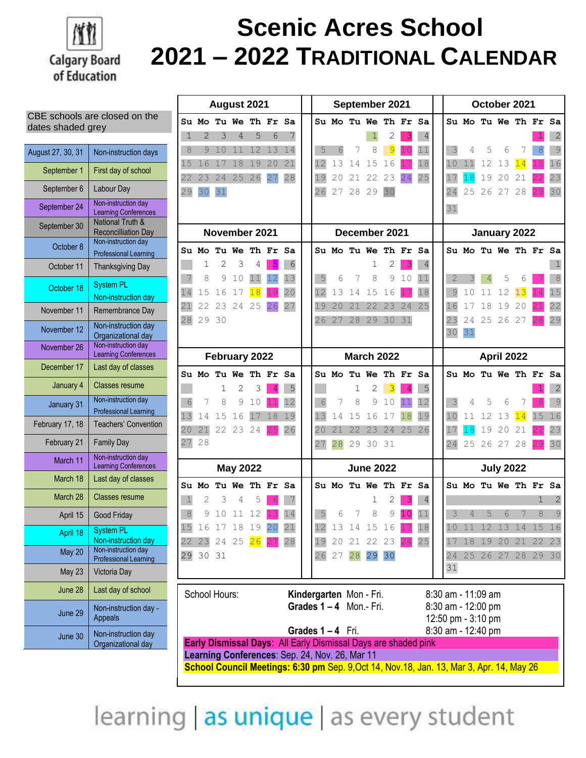

## **Scenic Acres School 2021 – 2022 TRADITIONAL CALENDAR**

| CBE schools are closed on the |
|-------------------------------|
| dates shaded grey             |

| August 27, 30, 31 | Non-instruction days                                |
|-------------------|-----------------------------------------------------|
| September 1       | First day of school                                 |
| September 6       | Labour Day                                          |
| September 24      | Non-instruction day<br>Learning Conferences         |
| September 30      | National Truth &<br><b>Reconcilliation Day</b>      |
| October 8         | Non-instruction day<br><b>Professional Learning</b> |
| October 11        | <b>Thanksgiving Day</b>                             |
| October 18        | <b>System PL</b><br>Non-instruction day             |
| November 11       | Remembrance Day                                     |
| November 12       | Non-instruction day<br>Organizational day           |
| November 26       | Non-instruction day<br><b>Learning Conferences</b>  |
| December 17       | Last day of classes                                 |
| January 4         | Classes resume                                      |
| January 31        | Non-instruction day<br><b>Professional Learning</b> |
| February 17, 18   | <b>Teachers' Convention</b>                         |
| February 21       | <b>Family Day</b>                                   |
| March 11          | Non-instruction day<br><b>Learning Conferences</b>  |
| March 18          | Last day of classes                                 |
| March 28          | <b>Classes resume</b>                               |
| April 15          | Good Friday                                         |
| April 18          | <b>System PL</b><br>Non-instruction day             |
| May 20            | Non-instruction day<br><b>Professional Learning</b> |
| May 23            | Victoria Day                                        |
| June 28           | Last day of school                                  |
| June 29           | Non-instruction day -<br><b>Appeals</b>             |
| June 30           | Non-instruction day<br>Organizational day           |

|                                                                                           | August 2021                                                 |    |                      |    |    |    |  | September 2021                       |       |       |                                                      |              | October 2021 |     |            |                                          |    |                      |       |    |               |
|-------------------------------------------------------------------------------------------|-------------------------------------------------------------|----|----------------------|----|----|----|--|--------------------------------------|-------|-------|------------------------------------------------------|--------------|--------------|-----|------------|------------------------------------------|----|----------------------|-------|----|---------------|
|                                                                                           |                                                             |    | Su Mo Tu We Th Fr    |    |    | Sa |  |                                      |       |       | Su Mo Tu We Th Fr                                    |              |              | -Sa |            |                                          |    | Su Mo Tu We Th Fr Sa |       |    |               |
| ı.                                                                                        | $\overline{2}$                                              | 3  | 4                    | 5  | 6  |    |  |                                      |       |       |                                                      |              | 3            | 4   |            |                                          |    |                      |       |    | 2             |
| 8                                                                                         | 9                                                           | 10 | 11                   | 12 | 13 | 14 |  | 5                                    | 6     | 7     | 8                                                    | 9            | 10           | 11  | 3          | 4                                        | 5  | 6                    |       | 8  | 9             |
| 15                                                                                        | 16                                                          | 17 | 18                   | 19 | 20 | 21 |  | 12                                   | 13    | 14    | 15                                                   | 16           |              | 18  | 10         | 11                                       | 12 | 13                   | 14    | 15 | 16            |
| 22                                                                                        | 23                                                          | 24 | 25                   | 26 | 27 | 28 |  | 19                                   | 20    | 21    | 22                                                   | 23           | 24           | 25  |            | 18                                       | 19 | 20                   | 21    |    | 23            |
| 29                                                                                        | 30                                                          | 31 |                      |    |    |    |  | 26                                   | 27    | 28    | 29                                                   | 30           |              |     | 24         | 25                                       | 26 | 27                   | 28    |    | 30            |
|                                                                                           |                                                             |    |                      |    |    |    |  |                                      |       |       |                                                      |              |              |     | 31         |                                          |    |                      |       |    |               |
|                                                                                           |                                                             |    | November 2021        |    |    |    |  | December 2021                        |       |       |                                                      | January 2022 |              |     |            |                                          |    |                      |       |    |               |
|                                                                                           |                                                             |    | Su Mo Tu We Th Fr Sa |    |    |    |  |                                      |       |       | Su Mo Tu We Th Fr Sa                                 |              |              |     |            |                                          |    | Su Mo Tu We Th Fr Sa |       |    |               |
|                                                                                           | 1                                                           | 2  | 3                    | 4  | 5  | 6  |  |                                      |       |       | 1                                                    | 2            | 3            | 4   |            |                                          |    |                      |       |    | 1             |
|                                                                                           | 8                                                           | 9  | 10                   | 11 | 12 | 13 |  | 5                                    | 6     | 7     | 8                                                    | 9            | 10           | 11  | 2          | 3                                        | 4  | 5                    | 6     |    | 8             |
| 14                                                                                        | 15                                                          | 16 | 17                   | 18 |    | 20 |  | 12                                   | 13    | 14    | 15                                                   | 16           |              | 18  | 9          | 10                                       | 11 | 12                   | 13    |    | 15            |
| 21                                                                                        | 22                                                          | 23 | 24                   | 25 | 26 | 27 |  | 19                                   | 20    | 21    | 22                                                   | 23           | 24           | 25  | 16         | 17                                       | 18 | 19                   | 20    |    | 22            |
| 28                                                                                        | 29 30                                                       |    |                      |    |    |    |  | 26                                   | 27    | 28    | 29                                                   | 30           | 31           |     | 23         | 24                                       | 25 | 26                   | 27    |    | 29            |
|                                                                                           |                                                             |    |                      |    |    |    |  |                                      |       |       |                                                      |              |              |     | 30         | 31                                       |    |                      |       |    |               |
|                                                                                           |                                                             |    | February 2022        |    |    |    |  |                                      |       |       | <b>March 2022</b>                                    |              |              |     | April 2022 |                                          |    |                      |       |    |               |
|                                                                                           |                                                             |    | Su Mo Tu We Th Fr Sa |    |    |    |  |                                      |       |       | <b>Su Mo Tu We Th Fr</b>                             |              |              | Sa  |            |                                          |    | Su Mo Tu We Th Fr Sa |       |    |               |
|                                                                                           |                                                             | 1  | 2                    | 3  | 4  | 5  |  |                                      |       | 1     | 2                                                    | 3            | 4            | 5   |            |                                          |    |                      |       |    | 2             |
| 6                                                                                         | 7                                                           | 8  | 9                    | 10 |    | 12 |  | 6                                    | 7     | 8     | 9                                                    | 10           | 11           | 12  | 3          | 4                                        | 5  | 6                    |       |    | 9             |
| 13                                                                                        | 14                                                          | 15 | 16                   | 17 | 18 | 19 |  | 13                                   | 14    | 15    | 16                                                   | 17           | 18           | 19  | 10         | 11                                       | 12 | 13                   | 14    | 15 | 16            |
| 20                                                                                        | 21                                                          | 22 | 23                   | 24 | 25 | 26 |  | 20                                   | 2.1   | 22    | 23                                                   | 24           | 25           | 26  |            | 18                                       | 19 | 20                   | 21    |    | 23            |
| 27                                                                                        | 28                                                          |    |                      |    |    |    |  | 27                                   | 28    | 29    | 30                                                   | 31           |              |     | 24         | 25                                       | 26 | 27                   | 28    |    | 30            |
|                                                                                           |                                                             |    | <b>May 2022</b>      |    |    |    |  | <b>June 2022</b><br><b>July 2022</b> |       |       |                                                      |              |              |     |            |                                          |    |                      |       |    |               |
|                                                                                           | Su Mo                                                       |    | Tu We Th Fr Sa       |    |    |    |  |                                      |       |       | Su Mo Tu We Th Fr Sa                                 |              |              |     |            |                                          |    | Su Mo Tu We Th Fr Sa |       |    |               |
| $\mathbf{1}$                                                                              | 2                                                           | 3  | 4                    | 5  |    |    |  |                                      |       |       | 1                                                    | 2            | 3            | 4   |            |                                          |    |                      |       | 1  | 2             |
| $\,8\,$                                                                                   | 9                                                           | 10 | 11                   | 12 | З  | 14 |  | 5                                    | 6     | 7     | 8                                                    | 9            | 10           | 11  | 3          | 4                                        | 5  | 6                    | 7     | 8  | $\mathcal{G}$ |
| 15                                                                                        |                                                             |    | 16 17 18 19 20       |    |    | 21 |  |                                      |       | 13 14 | 15                                                   | 16           |              | 18  | 10         | 11                                       | 12 | 13                   | 14    | 15 | 16            |
|                                                                                           |                                                             |    | 22 23 24 25 26 27    |    |    | 28 |  |                                      |       |       | 19 20 21 22 23 24                                    |              |              | 25  | 17         | 18                                       | 19 | 20                   | 21    | 22 | 23            |
|                                                                                           | 29 30 31                                                    |    |                      |    |    |    |  |                                      | 26 27 |       | 28 29                                                | 30           |              |     | 24<br>31   |                                          |    | 25 26 27             | 28 29 |    | 30            |
|                                                                                           |                                                             |    |                      |    |    |    |  |                                      |       |       |                                                      |              |              |     |            |                                          |    |                      |       |    |               |
|                                                                                           | School Hours:                                               |    |                      |    |    |    |  |                                      |       |       | Kindergarten Mon - Fri.<br>Grades $1 - 4$ Mon.- Fri. |              |              |     |            | 8:30 am - 11:09 am<br>8:30 am - 12:00 pm |    |                      |       |    |               |
|                                                                                           | 12:50 pm - 3:10 pm<br>Grades 1-4 Fri.<br>8:30 am - 12:40 pm |    |                      |    |    |    |  |                                      |       |       |                                                      |              |              |     |            |                                          |    |                      |       |    |               |
| Early Dismissal Days: All Early Dismissal Days are shaded pink                            |                                                             |    |                      |    |    |    |  |                                      |       |       |                                                      |              |              |     |            |                                          |    |                      |       |    |               |
| Learning Conferences: Sep. 24, Nov. 26, Mar 11                                            |                                                             |    |                      |    |    |    |  |                                      |       |       |                                                      |              |              |     |            |                                          |    |                      |       |    |               |
| School Council Meetings: 6:30 pm Sep. 9, Oct 14, Nov. 18, Jan. 13, Mar 3, Apr. 14, May 26 |                                                             |    |                      |    |    |    |  |                                      |       |       |                                                      |              |              |     |            |                                          |    |                      |       |    |               |

learning as unique as every student